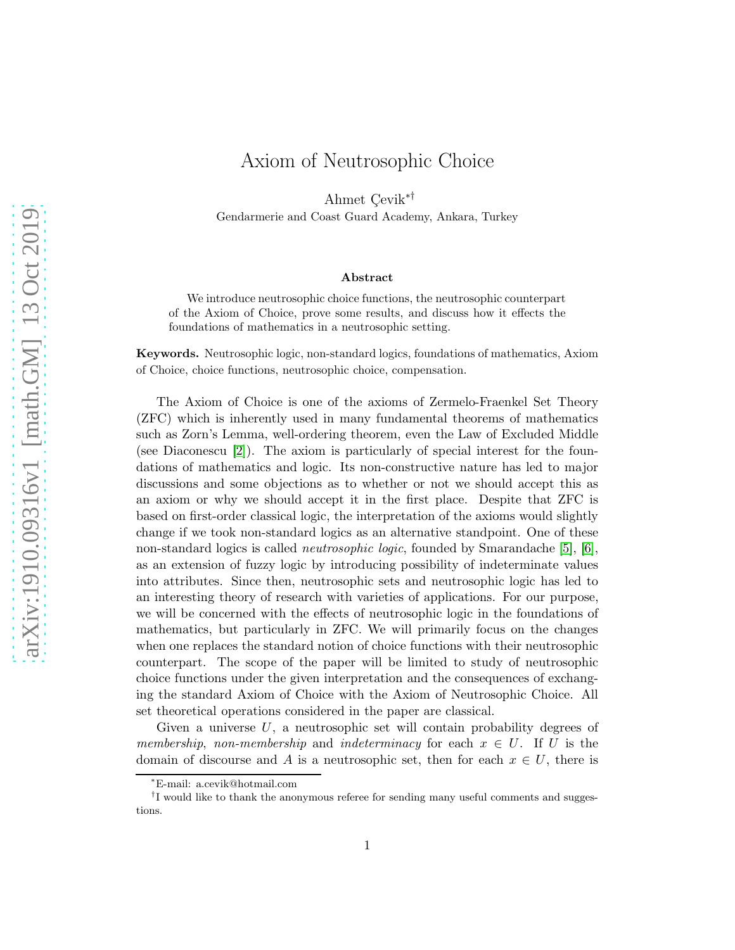## Axiom of Neutrosophic Choice

Ahmet Cevik<sup>∗†</sup>

Gendarmerie and Coast Guard Academy, Ankara, Turkey

## Abstract

We introduce neutrosophic choice functions, the neutrosophic counterpart of the Axiom of Choice, prove some results, and discuss how it effects the foundations of mathematics in a neutrosophic setting.

Keywords. Neutrosophic logic, non-standard logics, foundations of mathematics, Axiom of Choice, choice functions, neutrosophic choice, compensation.

The Axiom of Choice is one of the axioms of Zermelo-Fraenkel Set Theory (ZFC) which is inherently used in many fundamental theorems of mathematics such as Zorn's Lemma, well-ordering theorem, even the Law of Excluded Middle (see Diaconescu [\[2\]](#page-9-0)). The axiom is particularly of special interest for the foundations of mathematics and logic. Its non-constructive nature has led to major discussions and some objections as to whether or not we should accept this as an axiom or why we should accept it in the first place. Despite that ZFC is based on first-order classical logic, the interpretation of the axioms would slightly change if we took non-standard logics as an alternative standpoint. One of these non-standard logics is called neutrosophic logic, founded by Smarandache [\[5\]](#page-9-1), [\[6\]](#page-9-2), as an extension of fuzzy logic by introducing possibility of indeterminate values into attributes. Since then, neutrosophic sets and neutrosophic logic has led to an interesting theory of research with varieties of applications. For our purpose, we will be concerned with the effects of neutrosophic logic in the foundations of mathematics, but particularly in ZFC. We will primarily focus on the changes when one replaces the standard notion of choice functions with their neutrosophic counterpart. The scope of the paper will be limited to study of neutrosophic choice functions under the given interpretation and the consequences of exchanging the standard Axiom of Choice with the Axiom of Neutrosophic Choice. All set theoretical operations considered in the paper are classical.

Given a universe  $U$ , a neutrosophic set will contain probability degrees of membership, non-membership and indeterminacy for each  $x \in U$ . If U is the domain of discourse and A is a neutrosophic set, then for each  $x \in U$ , there is

<sup>∗</sup>E-mail: a.cevik@hotmail.com

<sup>&</sup>lt;sup>†</sup>I would like to thank the anonymous referee for sending many useful comments and suggestions.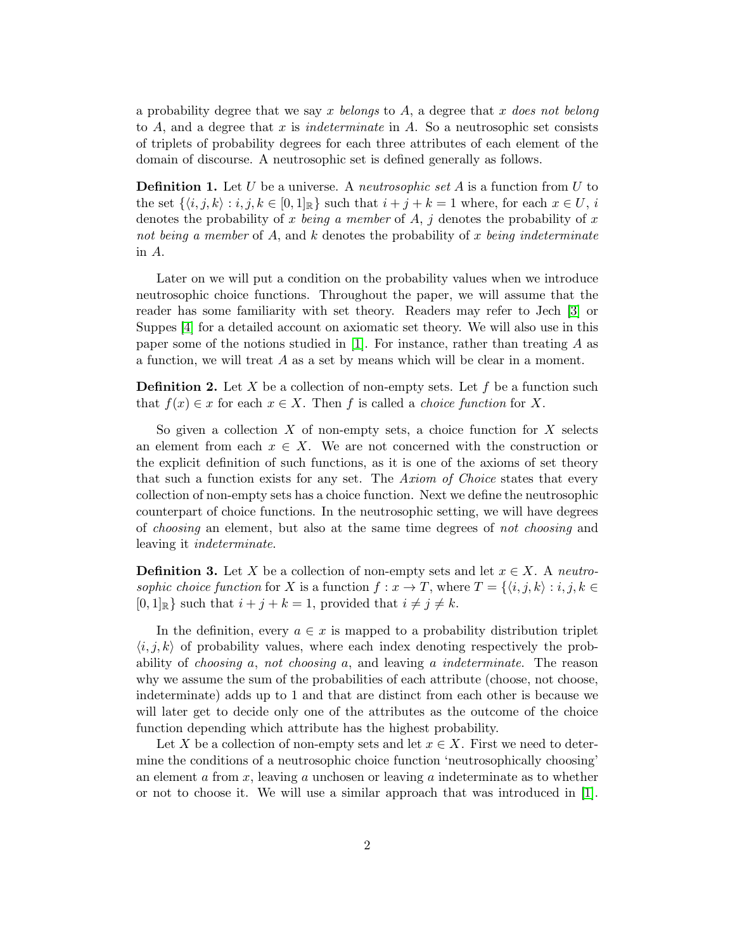a probability degree that we say x belongs to  $A$ , a degree that x does not belong to A, and a degree that x is *indeterminate* in A. So a neutrosophic set consists of triplets of probability degrees for each three attributes of each element of the domain of discourse. A neutrosophic set is defined generally as follows.

**Definition 1.** Let U be a universe. A *neutrosophic set A* is a function from U to the set  $\{\langle i, j, k \rangle : i, j, k \in [0, 1]_{\mathbb{R}}\}$  such that  $i + j + k = 1$  where, for each  $x \in U$ , i denotes the probability of x being a member of A, j denotes the probability of x not being a member of A, and k denotes the probability of x being indeterminate in A.

Later on we will put a condition on the probability values when we introduce neutrosophic choice functions. Throughout the paper, we will assume that the reader has some familiarity with set theory. Readers may refer to Jech [\[3\]](#page-9-3) or Suppes [\[4\]](#page-9-4) for a detailed account on axiomatic set theory. We will also use in this paper some of the notions studied in [\[1\]](#page-9-5). For instance, rather than treating  $A$  as a function, we will treat A as a set by means which will be clear in a moment.

**Definition 2.** Let X be a collection of non-empty sets. Let f be a function such that  $f(x) \in x$  for each  $x \in X$ . Then f is called a *choice function* for X.

So given a collection X of non-empty sets, a choice function for X selects an element from each  $x \in X$ . We are not concerned with the construction or the explicit definition of such functions, as it is one of the axioms of set theory that such a function exists for any set. The Axiom of Choice states that every collection of non-empty sets has a choice function. Next we define the neutrosophic counterpart of choice functions. In the neutrosophic setting, we will have degrees of choosing an element, but also at the same time degrees of not choosing and leaving it indeterminate.

**Definition 3.** Let X be a collection of non-empty sets and let  $x \in X$ . A neutrosophic choice function for X is a function  $f: x \to T$ , where  $T = \{ \langle i, j, k \rangle : i, j, k \in$  $[0,1]_{\mathbb{R}}$  such that  $i + j + k = 1$ , provided that  $i \neq j \neq k$ .

In the definition, every  $a \in \mathcal{X}$  is mapped to a probability distribution triplet  $\langle i, j, k \rangle$  of probability values, where each index denoting respectively the probability of choosing a, not choosing a, and leaving a indeterminate. The reason why we assume the sum of the probabilities of each attribute (choose, not choose, indeterminate) adds up to 1 and that are distinct from each other is because we will later get to decide only one of the attributes as the outcome of the choice function depending which attribute has the highest probability.

Let X be a collection of non-empty sets and let  $x \in X$ . First we need to determine the conditions of a neutrosophic choice function 'neutrosophically choosing' an element  $\alpha$  from  $x$ , leaving  $\alpha$  unchosen or leaving  $\alpha$  indeterminate as to whether or not to choose it. We will use a similar approach that was introduced in [\[1\]](#page-9-5).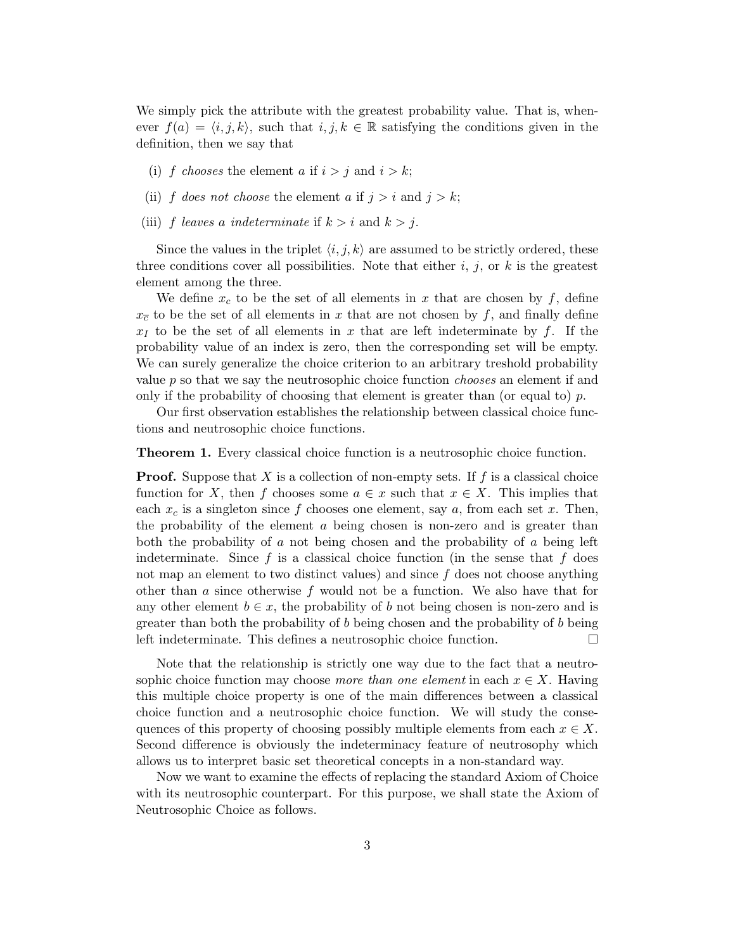We simply pick the attribute with the greatest probability value. That is, whenever  $f(a) = \langle i, j, k \rangle$ , such that  $i, j, k \in \mathbb{R}$  satisfying the conditions given in the definition, then we say that

- (i) f chooses the element a if  $i > j$  and  $i > k$ ;
- (ii) f does not choose the element a if  $j > i$  and  $j > k$ ;
- (iii) f leaves a indeterminate if  $k > i$  and  $k > j$ .

Since the values in the triplet  $\langle i, j, k \rangle$  are assumed to be strictly ordered, these three conditions cover all possibilities. Note that either  $i, j$ , or  $k$  is the greatest element among the three.

We define  $x_c$  to be the set of all elements in x that are chosen by f, define  $x_{\overline{c}}$  to be the set of all elements in x that are not chosen by f, and finally define  $x_I$  to be the set of all elements in x that are left indeterminate by f. If the probability value of an index is zero, then the corresponding set will be empty. We can surely generalize the choice criterion to an arbitrary treshold probability value  $p$  so that we say the neutrosophic choice function *chooses* an element if and only if the probability of choosing that element is greater than (or equal to)  $p$ .

Our first observation establishes the relationship between classical choice functions and neutrosophic choice functions.

Theorem 1. Every classical choice function is a neutrosophic choice function.

**Proof.** Suppose that X is a collection of non-empty sets. If  $f$  is a classical choice function for X, then f chooses some  $a \in x$  such that  $x \in X$ . This implies that each  $x_c$  is a singleton since f chooses one element, say a, from each set x. Then, the probability of the element  $\alpha$  being chosen is non-zero and is greater than both the probability of a not being chosen and the probability of a being left indeterminate. Since f is a classical choice function (in the sense that f does not map an element to two distinct values) and since  $f$  does not choose anything other than  $\alpha$  since otherwise  $f$  would not be a function. We also have that for any other element  $b \in x$ , the probability of b not being chosen is non-zero and is greater than both the probability of b being chosen and the probability of b being left indeterminate. This defines a neutrosophic choice function.

Note that the relationship is strictly one way due to the fact that a neutrosophic choice function may choose more than one element in each  $x \in X$ . Having this multiple choice property is one of the main differences between a classical choice function and a neutrosophic choice function. We will study the consequences of this property of choosing possibly multiple elements from each  $x \in X$ . Second difference is obviously the indeterminacy feature of neutrosophy which allows us to interpret basic set theoretical concepts in a non-standard way.

Now we want to examine the effects of replacing the standard Axiom of Choice with its neutrosophic counterpart. For this purpose, we shall state the Axiom of Neutrosophic Choice as follows.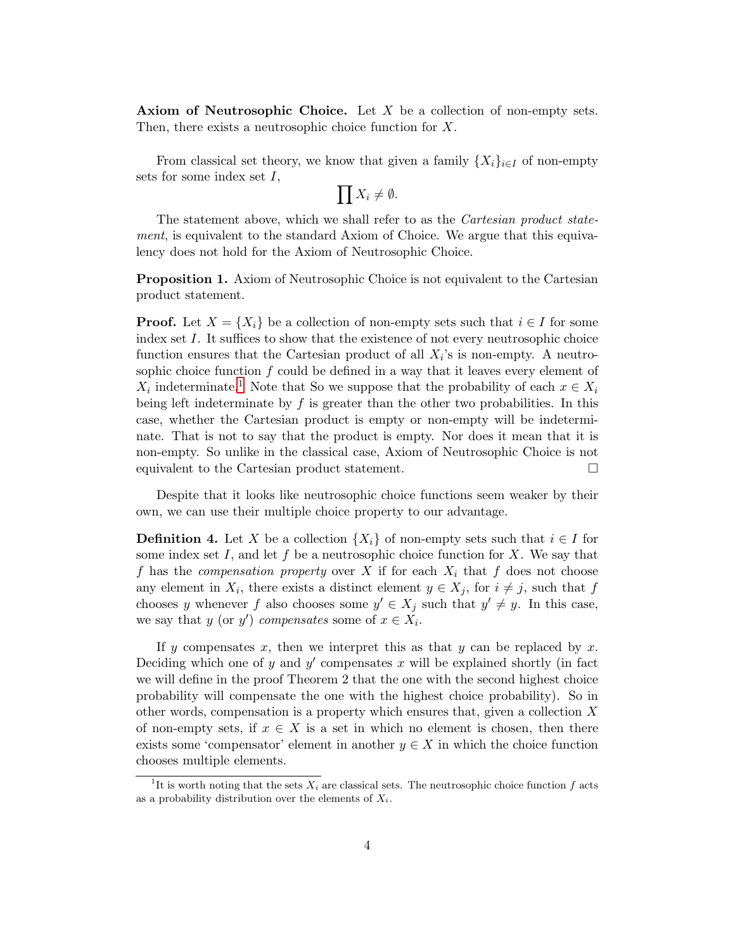**Axiom of Neutrosophic Choice.** Let  $X$  be a collection of non-empty sets. Then, there exists a neutrosophic choice function for X.

From classical set theory, we know that given a family  $\{X_i\}_{i\in I}$  of non-empty sets for some index set  $I$ ,

 $\prod X_i \neq \emptyset$ .

The statement above, which we shall refer to as the *Cartesian product state*ment, is equivalent to the standard Axiom of Choice. We argue that this equivalency does not hold for the Axiom of Neutrosophic Choice.

Proposition 1. Axiom of Neutrosophic Choice is not equivalent to the Cartesian product statement.

**Proof.** Let  $X = \{X_i\}$  be a collection of non-empty sets such that  $i \in I$  for some index set I. It suffices to show that the existence of not every neutrosophic choice function ensures that the Cartesian product of all  $X_i$ 's is non-empty. A neutrosophic choice function  $f$  could be defined in a way that it leaves every element of  $X_i$  indeterminate.<sup>[1](#page-3-0)</sup> Note that So we suppose that the probability of each  $x \in X_i$ being left indeterminate by  $f$  is greater than the other two probabilities. In this case, whether the Cartesian product is empty or non-empty will be indeterminate. That is not to say that the product is empty. Nor does it mean that it is non-empty. So unlike in the classical case, Axiom of Neutrosophic Choice is not equivalent to the Cartesian product statement.

Despite that it looks like neutrosophic choice functions seem weaker by their own, we can use their multiple choice property to our advantage.

**Definition 4.** Let X be a collection  $\{X_i\}$  of non-empty sets such that  $i \in I$  for some index set I, and let f be a neutrosophic choice function for X. We say that f has the *compensation property* over X if for each  $X_i$  that f does not choose any element in  $X_i$ , there exists a distinct element  $y \in X_j$ , for  $i \neq j$ , such that f chooses y whenever f also chooses some  $y' \in X_j$  such that  $y' \neq y$ . In this case, we say that y (or y') compensates some of  $x \in X_i$ .

If y compensates x, then we interpret this as that y can be replaced by x. Deciding which one of  $y$  and  $y'$  compensates  $x$  will be explained shortly (in fact we will define in the proof Theorem 2 that the one with the second highest choice probability will compensate the one with the highest choice probability). So in other words, compensation is a property which ensures that, given a collection X of non-empty sets, if  $x \in X$  is a set in which no element is chosen, then there exists some 'compensator' element in another  $y \in X$  in which the choice function chooses multiple elements.

<span id="page-3-0"></span><sup>&</sup>lt;sup>1</sup>It is worth noting that the sets  $X_i$  are classical sets. The neutrosophic choice function f acts as a probability distribution over the elements of  $X_i$ .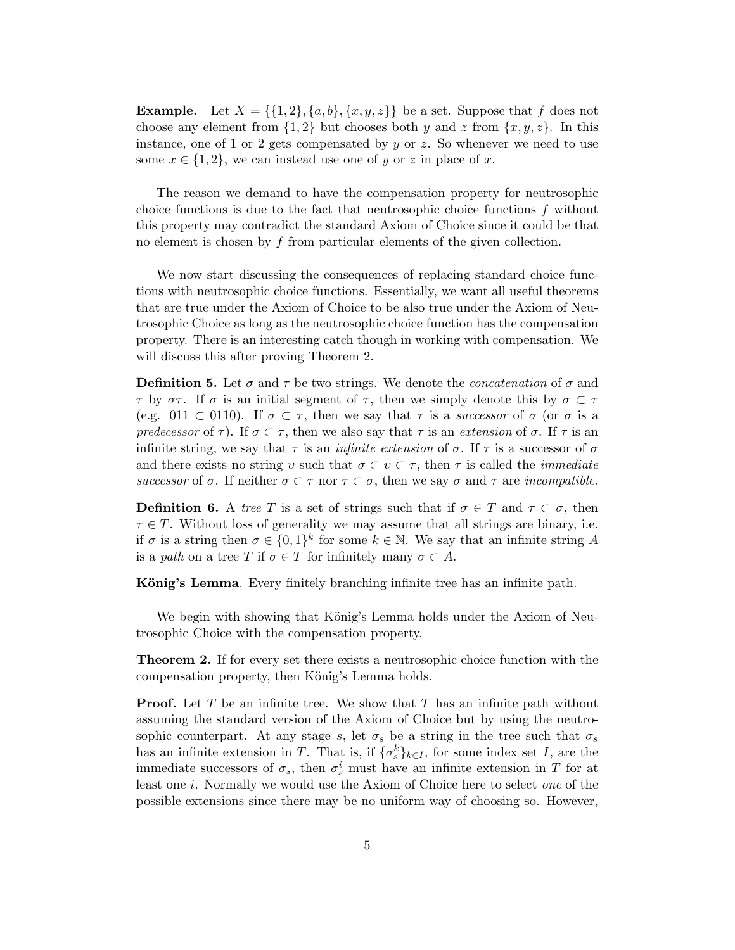**Example.** Let  $X = \{\{1, 2\}, \{a, b\}, \{x, y, z\}\}\)$  be a set. Suppose that f does not choose any element from  $\{1, 2\}$  but chooses both y and z from  $\{x, y, z\}$ . In this instance, one of 1 or 2 gets compensated by  $y$  or  $z$ . So whenever we need to use some  $x \in \{1,2\}$ , we can instead use one of y or z in place of x.

The reason we demand to have the compensation property for neutrosophic choice functions is due to the fact that neutrosophic choice functions  $f$  without this property may contradict the standard Axiom of Choice since it could be that no element is chosen by f from particular elements of the given collection.

We now start discussing the consequences of replacing standard choice functions with neutrosophic choice functions. Essentially, we want all useful theorems that are true under the Axiom of Choice to be also true under the Axiom of Neutrosophic Choice as long as the neutrosophic choice function has the compensation property. There is an interesting catch though in working with compensation. We will discuss this after proving Theorem 2.

**Definition 5.** Let  $\sigma$  and  $\tau$  be two strings. We denote the *concatenation* of  $\sigma$  and  $\tau$  by  $\sigma\tau$ . If  $\sigma$  is an initial segment of  $\tau$ , then we simply denote this by  $\sigma \subset \tau$ (e.g. 011  $\subset$  0110). If  $\sigma \subset \tau$ , then we say that  $\tau$  is a successor of  $\sigma$  (or  $\sigma$  is a predecessor of  $\tau$ ). If  $\sigma \subset \tau$ , then we also say that  $\tau$  is an extension of  $\sigma$ . If  $\tau$  is an infinite string, we say that  $\tau$  is an *infinite extension* of  $\sigma$ . If  $\tau$  is a successor of  $\sigma$ and there exists no string v such that  $\sigma \subset v \subset \tau$ , then  $\tau$  is called the *immediate* successor of  $\sigma$ . If neither  $\sigma \subset \tau$  nor  $\tau \subset \sigma$ , then we say  $\sigma$  and  $\tau$  are incompatible.

**Definition 6.** A tree T is a set of strings such that if  $\sigma \in T$  and  $\tau \subset \sigma$ , then  $\tau \in T$ . Without loss of generality we may assume that all strings are binary, i.e. if  $\sigma$  is a string then  $\sigma \in \{0,1\}^k$  for some  $k \in \mathbb{N}$ . We say that an infinite string A is a path on a tree T if  $\sigma \in T$  for infinitely many  $\sigma \subset A$ .

König's Lemma. Every finitely branching infinite tree has an infinite path.

We begin with showing that König's Lemma holds under the Axiom of Neutrosophic Choice with the compensation property.

Theorem 2. If for every set there exists a neutrosophic choice function with the compensation property, then König's Lemma holds.

**Proof.** Let  $T$  be an infinite tree. We show that  $T$  has an infinite path without assuming the standard version of the Axiom of Choice but by using the neutrosophic counterpart. At any stage s, let  $\sigma_s$  be a string in the tree such that  $\sigma_s$ has an infinite extension in T. That is, if  $\{\sigma_s^k\}_{k\in I}$ , for some index set I, are the immediate successors of  $\sigma_s$ , then  $\sigma_s^i$  must have an infinite extension in T for at least one i. Normally we would use the Axiom of Choice here to select one of the possible extensions since there may be no uniform way of choosing so. However,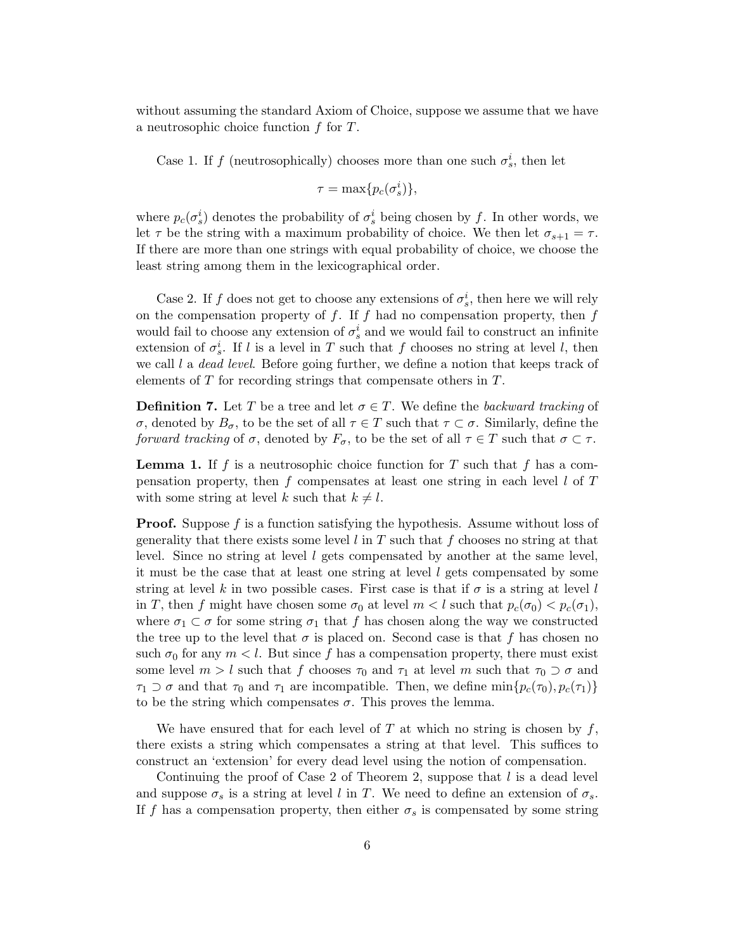without assuming the standard Axiom of Choice, suppose we assume that we have a neutrosophic choice function f for T.

Case 1. If f (neutrosophically) chooses more than one such  $\sigma_s^i$ , then let

$$
\tau = \max\{p_c(\sigma_s^i)\},\
$$

where  $p_c(\sigma_s^i)$  denotes the probability of  $\sigma_s^i$  being chosen by f. In other words, we let  $\tau$  be the string with a maximum probability of choice. We then let  $\sigma_{s+1} = \tau$ . If there are more than one strings with equal probability of choice, we choose the least string among them in the lexicographical order.

Case 2. If f does not get to choose any extensions of  $\sigma_s^i$ , then here we will rely on the compensation property of  $f$ . If  $f$  had no compensation property, then  $f$ would fail to choose any extension of  $\sigma_s^i$  and we would fail to construct an infinite extension of  $\sigma_s^i$ . If l is a level in T such that f chooses no string at level l, then we call  $l$  a *dead level*. Before going further, we define a notion that keeps track of elements of T for recording strings that compensate others in T.

**Definition 7.** Let T be a tree and let  $\sigma \in T$ . We define the backward tracking of σ, denoted by  $B_{\sigma}$ , to be the set of all  $\tau \in T$  such that  $\tau \subset \sigma$ . Similarly, define the forward tracking of  $\sigma$ , denoted by  $F_{\sigma}$ , to be the set of all  $\tau \in T$  such that  $\sigma \subset \tau$ .

**Lemma 1.** If f is a neutrosophic choice function for T such that f has a compensation property, then f compensates at least one string in each level  $l$  of  $T$ with some string at level k such that  $k \neq l$ .

**Proof.** Suppose  $f$  is a function satisfying the hypothesis. Assume without loss of generality that there exists some level  $l$  in  $T$  such that  $f$  chooses no string at that level. Since no string at level l gets compensated by another at the same level, it must be the case that at least one string at level l gets compensated by some string at level k in two possible cases. First case is that if  $\sigma$  is a string at level l in T, then f might have chosen some  $\sigma_0$  at level  $m < l$  such that  $p_c(\sigma_0) < p_c(\sigma_1)$ , where  $\sigma_1 \subset \sigma$  for some string  $\sigma_1$  that f has chosen along the way we constructed the tree up to the level that  $\sigma$  is placed on. Second case is that f has chosen no such  $\sigma_0$  for any  $m < l$ . But since f has a compensation property, there must exist some level  $m > l$  such that f chooses  $\tau_0$  and  $\tau_1$  at level m such that  $\tau_0 \supset \sigma$  and  $\tau_1 \supset \sigma$  and that  $\tau_0$  and  $\tau_1$  are incompatible. Then, we define  $\min\{p_c(\tau_0), p_c(\tau_1)\}\$ to be the string which compensates  $\sigma$ . This proves the lemma.

We have ensured that for each level of T at which no string is chosen by  $f$ , there exists a string which compensates a string at that level. This suffices to construct an 'extension' for every dead level using the notion of compensation.

Continuing the proof of Case 2 of Theorem 2, suppose that  $l$  is a dead level and suppose  $\sigma_s$  is a string at level l in T. We need to define an extension of  $\sigma_s$ . If f has a compensation property, then either  $\sigma_s$  is compensated by some string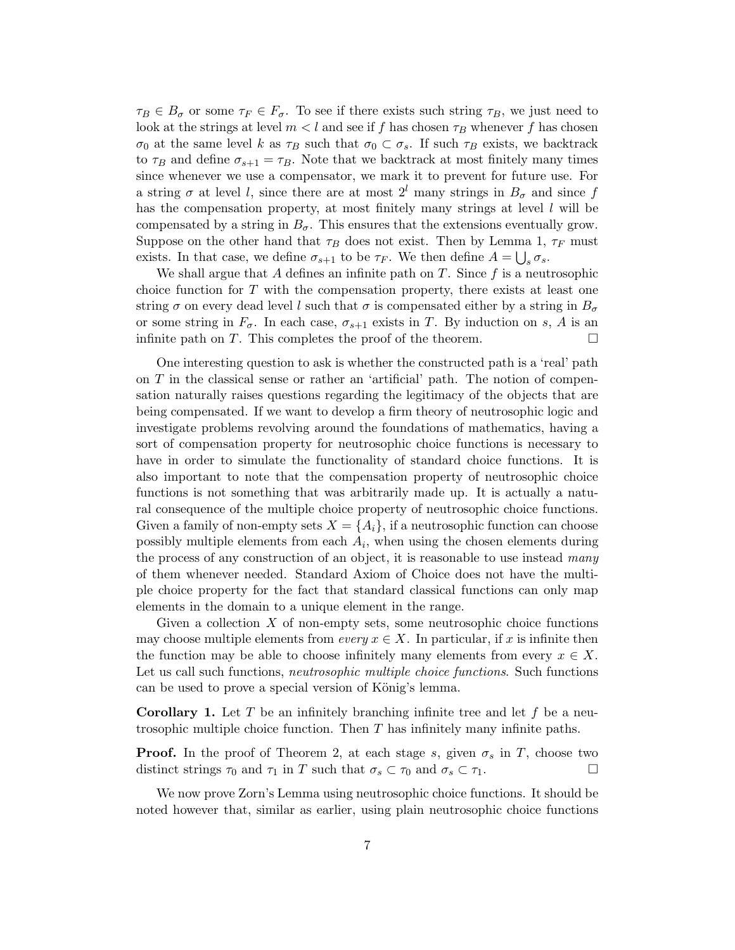$\tau_B \in B_{\sigma}$  or some  $\tau_F \in F_{\sigma}$ . To see if there exists such string  $\tau_B$ , we just need to look at the strings at level  $m < l$  and see if f has chosen  $\tau_B$  whenever f has chosen  $\sigma_0$  at the same level k as  $\tau_B$  such that  $\sigma_0 \subset \sigma_s$ . If such  $\tau_B$  exists, we backtrack to  $\tau_B$  and define  $\sigma_{s+1} = \tau_B$ . Note that we backtrack at most finitely many times since whenever we use a compensator, we mark it to prevent for future use. For a string  $\sigma$  at level l, since there are at most  $2^{l}$  many strings in  $B_{\sigma}$  and since f has the compensation property, at most finitely many strings at level  $l$  will be compensated by a string in  $B_{\sigma}$ . This ensures that the extensions eventually grow. Suppose on the other hand that  $\tau_B$  does not exist. Then by Lemma 1,  $\tau_F$  must exists. In that case, we define  $\sigma_{s+1}$  to be  $\tau_F$ . We then define  $A = \bigcup_s \sigma_s$ .

We shall argue that A defines an infinite path on  $T$ . Since f is a neutrosophic choice function for T with the compensation property, there exists at least one string  $\sigma$  on every dead level l such that  $\sigma$  is compensated either by a string in  $B_{\sigma}$ or some string in  $F_{\sigma}$ . In each case,  $\sigma_{s+1}$  exists in T. By induction on s, A is an infinite path on T. This completes the proof of the theorem.  $\Box$ 

One interesting question to ask is whether the constructed path is a 'real' path on  $T$  in the classical sense or rather an 'artificial' path. The notion of compensation naturally raises questions regarding the legitimacy of the objects that are being compensated. If we want to develop a firm theory of neutrosophic logic and investigate problems revolving around the foundations of mathematics, having a sort of compensation property for neutrosophic choice functions is necessary to have in order to simulate the functionality of standard choice functions. It is also important to note that the compensation property of neutrosophic choice functions is not something that was arbitrarily made up. It is actually a natural consequence of the multiple choice property of neutrosophic choice functions. Given a family of non-empty sets  $X = \{A_i\}$ , if a neutrosophic function can choose possibly multiple elements from each  $A_i$ , when using the chosen elements during the process of any construction of an object, it is reasonable to use instead many of them whenever needed. Standard Axiom of Choice does not have the multiple choice property for the fact that standard classical functions can only map elements in the domain to a unique element in the range.

Given a collection X of non-empty sets, some neutrosophic choice functions may choose multiple elements from every  $x \in X$ . In particular, if x is infinite then the function may be able to choose infinitely many elements from every  $x \in X$ . Let us call such functions, neutrosophic multiple choice functions. Such functions can be used to prove a special version of König's lemma.

**Corollary 1.** Let T be an infinitely branching infinite tree and let f be a neutrosophic multiple choice function. Then T has infinitely many infinite paths.

**Proof.** In the proof of Theorem 2, at each stage s, given  $\sigma_s$  in T, choose two distinct strings  $\tau_0$  and  $\tau_1$  in T such that  $\sigma_s \subset \tau_0$  and  $\sigma_s \subset \tau_1$ .

We now prove Zorn's Lemma using neutrosophic choice functions. It should be noted however that, similar as earlier, using plain neutrosophic choice functions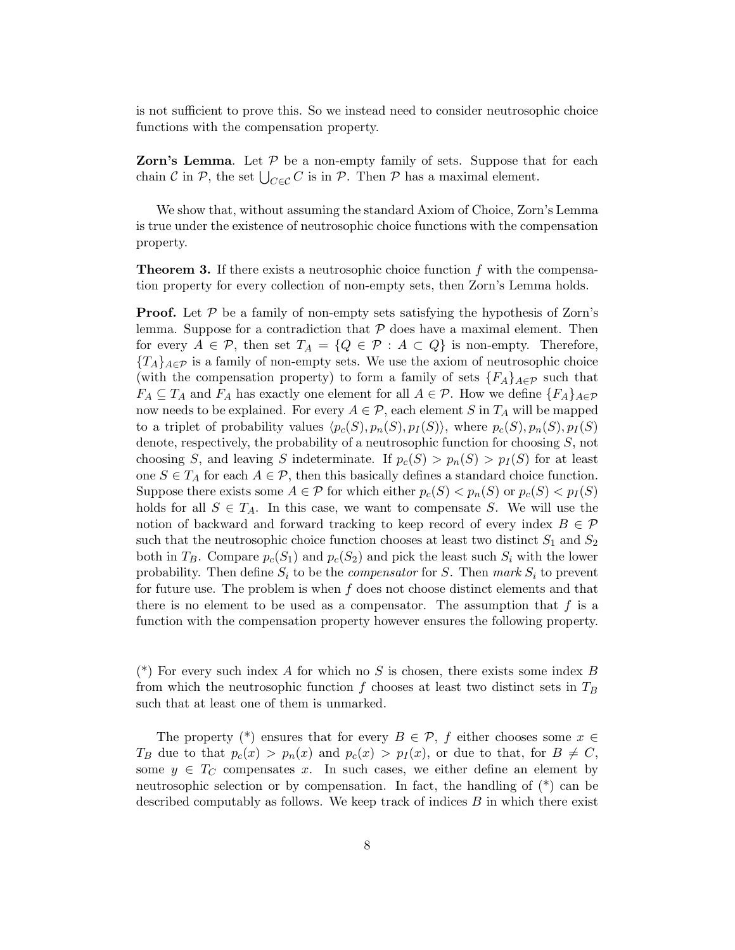is not sufficient to prove this. So we instead need to consider neutrosophic choice functions with the compensation property.

**Zorn's Lemma.** Let  $P$  be a non-empty family of sets. Suppose that for each chain  $\mathcal C$  in  $\mathcal P$ , the set  $\bigcup_{C\in\mathcal C} C$  is in  $\mathcal P$ . Then  $\mathcal P$  has a maximal element.

We show that, without assuming the standard Axiom of Choice, Zorn's Lemma is true under the existence of neutrosophic choice functions with the compensation property.

**Theorem 3.** If there exists a neutrosophic choice function  $f$  with the compensation property for every collection of non-empty sets, then Zorn's Lemma holds.

**Proof.** Let  $P$  be a family of non-empty sets satisfying the hypothesis of Zorn's lemma. Suppose for a contradiction that  $P$  does have a maximal element. Then for every  $A \in \mathcal{P}$ , then set  $T_A = \{Q \in \mathcal{P} : A \subset Q\}$  is non-empty. Therefore,  ${T_A}_{A\in\mathcal{P}}$  is a family of non-empty sets. We use the axiom of neutrosophic choice (with the compensation property) to form a family of sets  ${F_A}_{A \in \mathcal{P}}$  such that  $F_A \subseteq T_A$  and  $F_A$  has exactly one element for all  $A \in \mathcal{P}$ . How we define  $\{F_A\}_{A \in \mathcal{P}}$ now needs to be explained. For every  $A \in \mathcal{P}$ , each element S in  $T_A$  will be mapped to a triplet of probability values  $\langle p_c(S), p_n(S), p_I(S)\rangle$ , where  $p_c(S), p_n(S), p_I(S)$ denote, respectively, the probability of a neutrosophic function for choosing S, not choosing S, and leaving S indeterminate. If  $p_c(S) > p_n(S) > p_I(S)$  for at least one  $S \in T_A$  for each  $A \in \mathcal{P}$ , then this basically defines a standard choice function. Suppose there exists some  $A \in \mathcal{P}$  for which either  $p_c(S) < p_n(S)$  or  $p_c(S) < p_I(S)$ holds for all  $S \in T_A$ . In this case, we want to compensate S. We will use the notion of backward and forward tracking to keep record of every index  $B \in \mathcal{P}$ such that the neutrosophic choice function chooses at least two distinct  $S_1$  and  $S_2$ both in  $T_B$ . Compare  $p_c(S_1)$  and  $p_c(S_2)$  and pick the least such  $S_i$  with the lower probability. Then define  $S_i$  to be the *compensator* for S. Then mark  $S_i$  to prevent for future use. The problem is when  $f$  does not choose distinct elements and that there is no element to be used as a compensator. The assumption that  $f$  is a function with the compensation property however ensures the following property.

(\*) For every such index A for which no S is chosen, there exists some index B from which the neutrosophic function f chooses at least two distinct sets in  $T_B$ such that at least one of them is unmarked.

The property (\*) ensures that for every  $B \in \mathcal{P}$ , f either chooses some  $x \in$  $T_B$  due to that  $p_c(x) > p_n(x)$  and  $p_c(x) > p_I(x)$ , or due to that, for  $B \neq C$ , some  $y \in T_C$  compensates x. In such cases, we either define an element by neutrosophic selection or by compensation. In fact, the handling of (\*) can be described computably as follows. We keep track of indices B in which there exist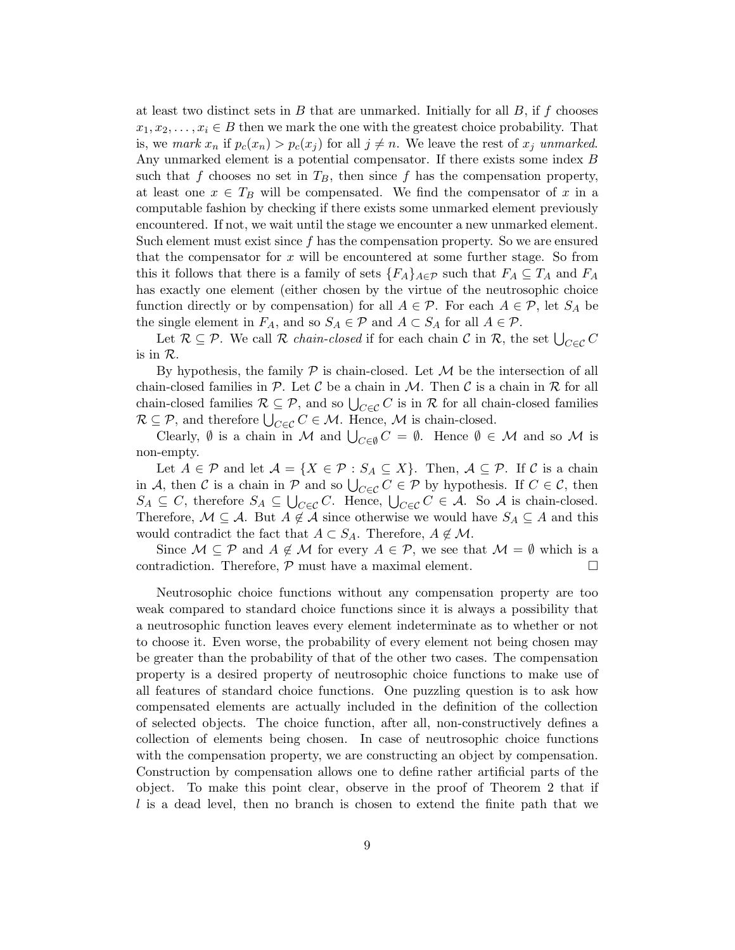at least two distinct sets in  $B$  that are unmarked. Initially for all  $B$ , if  $f$  chooses  $x_1, x_2, \ldots, x_i \in B$  then we mark the one with the greatest choice probability. That is, we mark  $x_n$  if  $p_c(x_n) > p_c(x_j)$  for all  $j \neq n$ . We leave the rest of  $x_j$  unmarked. Any unmarked element is a potential compensator. If there exists some index B such that f chooses no set in  $T_B$ , then since f has the compensation property, at least one  $x \in T_B$  will be compensated. We find the compensator of x in a computable fashion by checking if there exists some unmarked element previously encountered. If not, we wait until the stage we encounter a new unmarked element. Such element must exist since  $f$  has the compensation property. So we are ensured that the compensator for  $x$  will be encountered at some further stage. So from this it follows that there is a family of sets  $\{F_A\}_{A\in\mathcal{P}}$  such that  $F_A\subseteq T_A$  and  $F_A$ has exactly one element (either chosen by the virtue of the neutrosophic choice function directly or by compensation) for all  $A \in \mathcal{P}$ . For each  $A \in \mathcal{P}$ , let  $S_A$  be the single element in  $F_A$ , and so  $S_A \in \mathcal{P}$  and  $A \subset S_A$  for all  $A \in \mathcal{P}$ .

Let  $\mathcal{R} \subseteq \mathcal{P}$ . We call  $\mathcal{R}$  *chain-closed* if for each chain  $\mathcal{C}$  in  $\mathcal{R}$ , the set  $\bigcup_{C \in \mathcal{C}} C$ is in R.

By hypothesis, the family  $P$  is chain-closed. Let  $M$  be the intersection of all chain-closed families in P. Let C be a chain in M. Then C is a chain in R for all chain-closed families  $\mathcal{R} \subseteq \mathcal{P}$ , and so  $\bigcup_{C \in \mathcal{C}} C$  is in  $\mathcal{R}$  for all chain-closed families  $\mathcal{R} \subseteq \mathcal{P}$ , and therefore  $\bigcup_{C \in \mathcal{C}} C \in \mathcal{M}$ . Hence,  $\mathcal{M}$  is chain-closed.

Clearly,  $\emptyset$  is a chain in M and  $\bigcup_{C \in \emptyset} C = \emptyset$ . Hence  $\emptyset \in \mathcal{M}$  and so M is non-empty.

Let  $A \in \mathcal{P}$  and let  $\mathcal{A} = \{X \in \mathcal{P} : S_A \subseteq X\}$ . Then,  $\mathcal{A} \subseteq \mathcal{P}$ . If C is a chain in A, then C is a chain in P and so  $\bigcup_{C \in \mathcal{C}} C \in \mathcal{P}$  by hypothesis. If  $C \in \mathcal{C}$ , then  $S_A \subseteq C$ , therefore  $S_A \subseteq \bigcup_{C \in \mathcal{C}} C$ . Hence,  $\bigcup_{C \in \mathcal{C}} C \in \mathcal{A}$ . So A is chain-closed. Therefore,  $M \subseteq A$ . But  $A \notin A$  since otherwise we would have  $S_A \subseteq A$  and this would contradict the fact that  $A \subset S_A$ . Therefore,  $A \notin \mathcal{M}$ .

Since  $\mathcal{M} \subseteq \mathcal{P}$  and  $A \notin \mathcal{M}$  for every  $A \in \mathcal{P}$ , we see that  $\mathcal{M} = \emptyset$  which is a contradiction. Therefore,  $P$  must have a maximal element.  $\Box$ 

Neutrosophic choice functions without any compensation property are too weak compared to standard choice functions since it is always a possibility that a neutrosophic function leaves every element indeterminate as to whether or not to choose it. Even worse, the probability of every element not being chosen may be greater than the probability of that of the other two cases. The compensation property is a desired property of neutrosophic choice functions to make use of all features of standard choice functions. One puzzling question is to ask how compensated elements are actually included in the definition of the collection of selected objects. The choice function, after all, non-constructively defines a collection of elements being chosen. In case of neutrosophic choice functions with the compensation property, we are constructing an object by compensation. Construction by compensation allows one to define rather artificial parts of the object. To make this point clear, observe in the proof of Theorem 2 that if  $l$  is a dead level, then no branch is chosen to extend the finite path that we